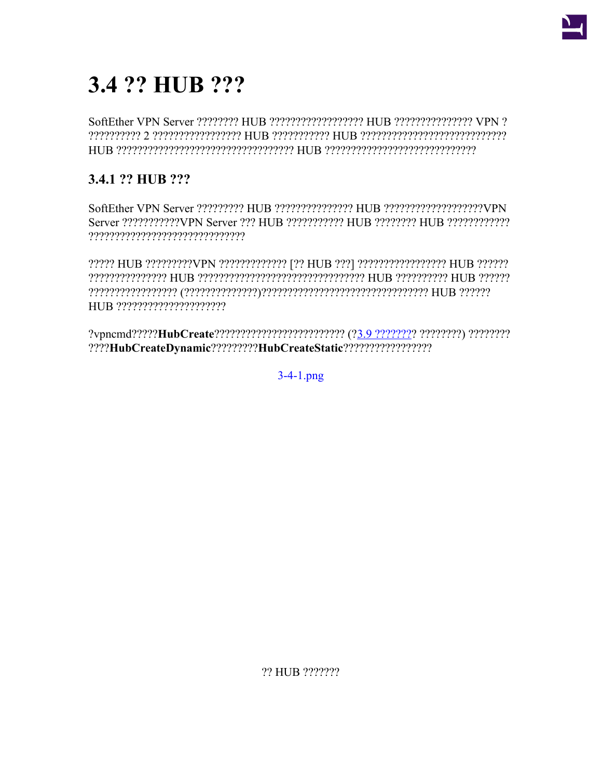

# 3.4 ?? HUB ???

# 3.4.1 ?? HUB ???

????? HUB ?????????VPN ????????????? [?? HUB ???] ????????????????? HUB ??????? 

 $3-4-1$ .png

?? HUB ???????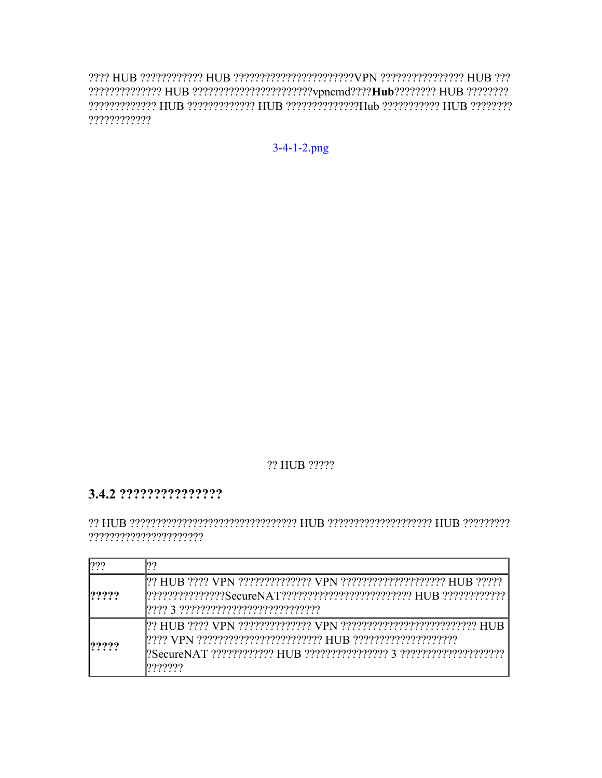????????????

 $3-4-1-2.png$ 

## ?? HUB ?????

## 

| 799   | იი       |
|-------|----------|
| ????? |          |
| ????? | ,,,,,,,, |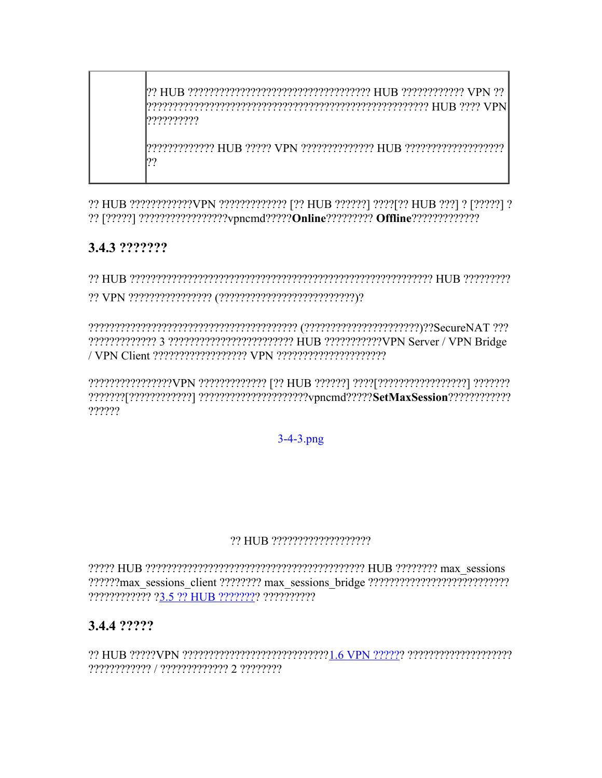??????????

7777777777777 HUR 22222 VPN 22222222222 HUR 222222222222222 77

?? HUB ?????????????VPN ?????????????? [?? HUB ??????] ????[?? HUB ???] ? [?????] ? 

# 3.4.3 ???????

?????????????????VPN ????????????? [?? HUB ??????] ????[?????????????????] ??????? 777777

## $3 - 4 - 3$ .png

#### 

??????????????? ?3.5 ?? HUB ???????? ???????????

## 3.4.4 ?????

22 HUB 22222VPN 222222222222222222222222221.6 VPN 222222 22222222222222222 ???????????? / ???????????? 2 ????????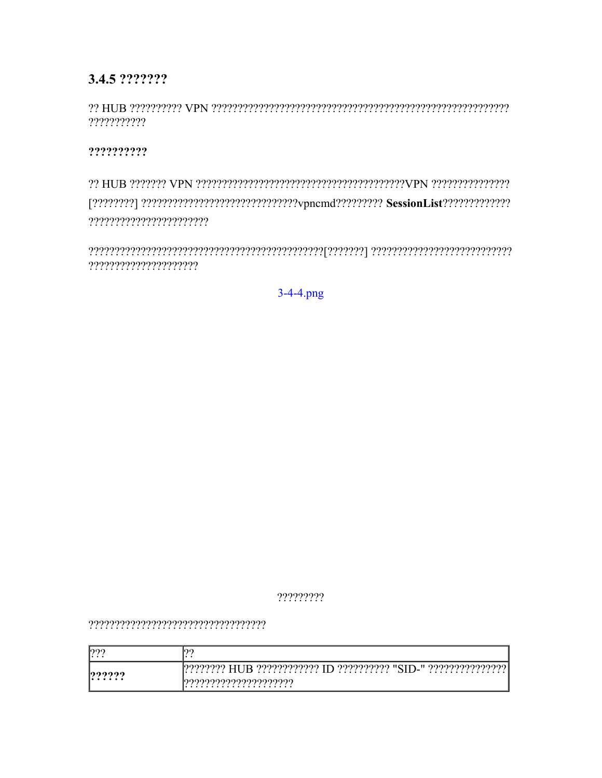# 3.4.5 ???????

???????????

??????????

?????????????????????

 $3-4-4$ .png

?????????

| 1227<br>. |                                                                   |
|-----------|-------------------------------------------------------------------|
| 122222    | ?????????? "SID-" ???????????????<br>ഥാരാരാര<br>าววววววววววว<br>. |
| .         | I9999999999999999999999<br>.<br>.                                 |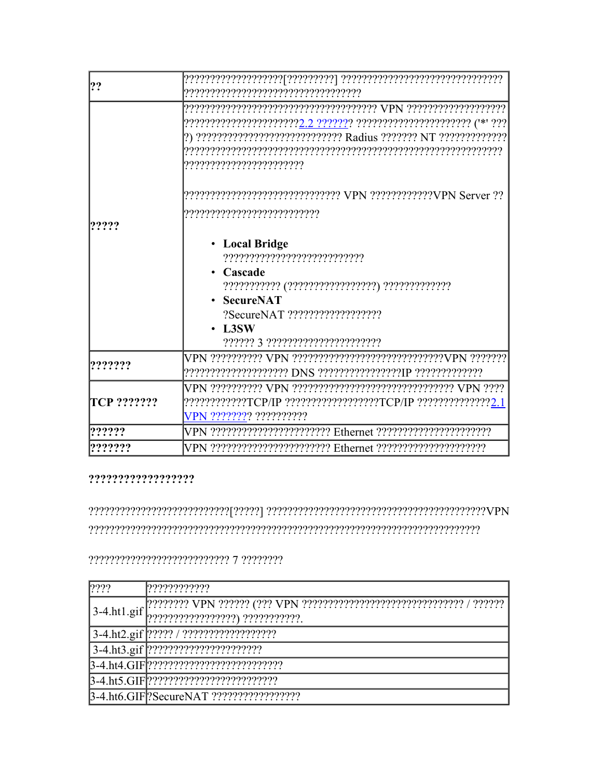| 2?          |                                                                                                                                    |
|-------------|------------------------------------------------------------------------------------------------------------------------------------|
|             | ??????????????????????? <u>?.2 ??????</u> ? ??????????????????????? ('*' ???<br>,,,,,,,,,,,,,,,,,,,,,,,,,,,                        |
|             |                                                                                                                                    |
| ?????       | ,,,,,,,,,,,,,,,,,,,,,,,,,,,,,                                                                                                      |
|             | • Local Bridge<br>Cascade<br><b>SecureNAT</b><br>?SecureNAT ???????????????????<br>$\cdot$ L3SW<br>?????? 3 ?????????????????????? |
| ??????      |                                                                                                                                    |
| TCP ??????? | ????????????TCP/IP ?????????????????TCP/IP ??????????????2.<br>VPN ???????? ??????????                                             |
| 222222      |                                                                                                                                    |
| ???????     |                                                                                                                                    |

 $\label{def:main} \frac{1}{2} \frac{1}{2} \frac{1}{2} \frac{1}{2} \frac{1}{2} \frac{1}{2} \frac{1}{2} \frac{1}{2} \frac{1}{2} \frac{1}{2} \frac{1}{2} \frac{1}{2} \frac{1}{2} \frac{1}{2} \frac{1}{2} \frac{1}{2} \frac{1}{2} \frac{1}{2} \frac{1}{2} \frac{1}{2} \frac{1}{2} \frac{1}{2} \frac{1}{2} \frac{1}{2} \frac{1}{2} \frac{1}{2} \frac{1}{2} \frac{1}{2} \frac{1}{2} \frac{1}{2} \frac{$ 

| ???? | ? ? ? ? ? ? ? ? ? ? ? ? |
|------|-------------------------|
|      |                         |
|      |                         |
|      |                         |
|      |                         |
|      |                         |
|      |                         |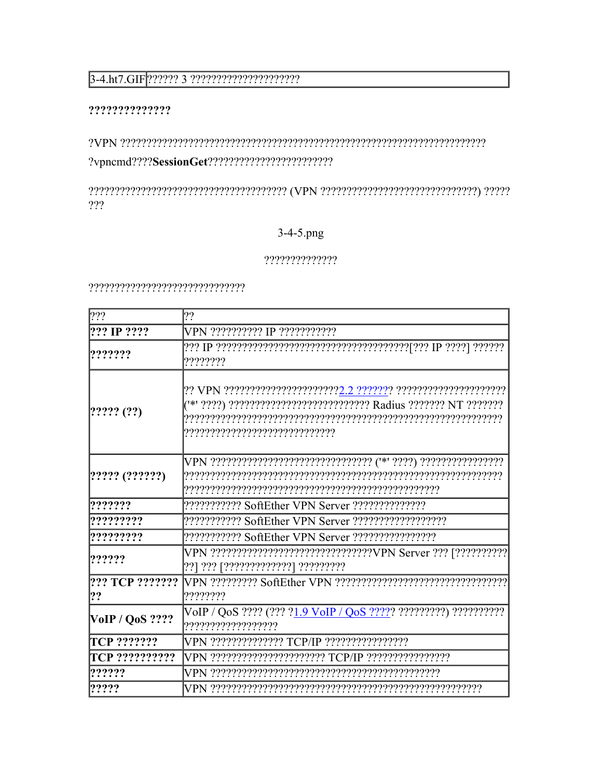# $3-4. \text{ht}7.\text{GIF} \text{?????? 3 ??????????????????$

#### ??????????????

???

## 3-4-5.png

#### $?????????????$

| ???                   | 2?                                                                                                 |
|-----------------------|----------------------------------------------------------------------------------------------------|
| ??? IP ????           | VPN ?????????? IP ???????????                                                                      |
| ???????               | ????????                                                                                           |
| [????? (?)            | ("*' ????) ????????????????????????????? Radius ??????? NT ????????                                |
| [????? (???????)      |                                                                                                    |
| ???????               |                                                                                                    |
| ?????????             |                                                                                                    |
| ?????????             |                                                                                                    |
| ??????                | VPN ????????????????????????????????VPN Server ??? [???????????<br>??? ??? ך????????????? בִּיְיִי |
| ??? TCP ???????<br>?? | ????????                                                                                           |
| $V$ oIP / QoS ????    | VoIP / QoS ???? (??? ? <u>1.9 VoIP / QoS ????</u> ? ?????????) ???????????                         |
| TCP ???????           |                                                                                                    |
| TCP ???????????       | VPN ????????????????????? TCP/IP ????????????????                                                  |
| ??????                |                                                                                                    |
| ?????                 |                                                                                                    |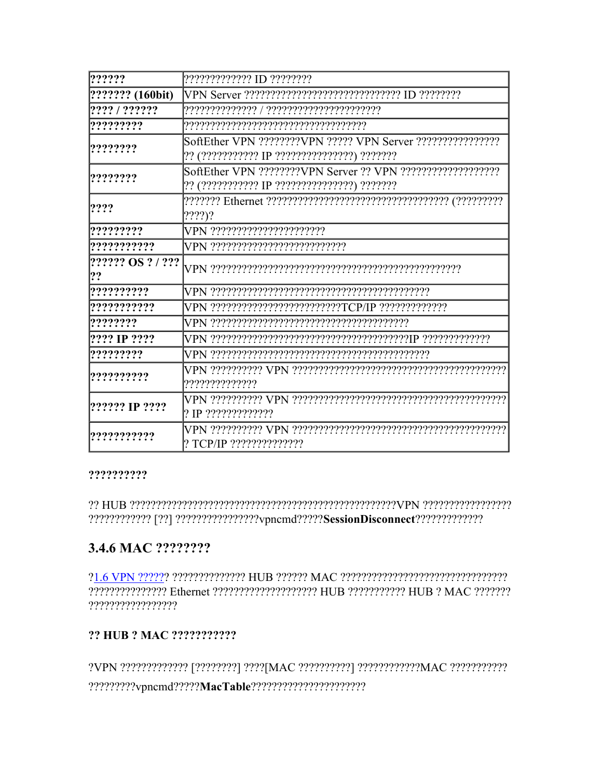| 2?????                   | ????????????? ID ????????                        |
|--------------------------|--------------------------------------------------|
| ??????? (160bit)         |                                                  |
| ???? / ??????            |                                                  |
| ?????????                |                                                  |
| ????????                 | ?? (??????????? IP ???????????????) ????????     |
| ????????                 | ?? (??????????? IP ???????????????) ????????     |
| ????                     | (?????)?                                         |
| ?????????                | VPN ???????????????????????                      |
| ???????????              | VPN ???????????????????????????                  |
| ?????? OS ? / ???<br> ?? |                                                  |
| ??????????               |                                                  |
| ???????????              | VPN ????????????????????????TCP/IP ????????????? |
| ????????                 |                                                  |
| ???? IP ????             |                                                  |
| ?????????                |                                                  |
| ??????????               | ,,,,,,,,,,,,,,,,                                 |
| 2????? IP ????           | 2 IP 222222222222                                |
| ???????????              | ? TCP/IP ???????????????                         |

#### ??????????

# 3.4.6 MAC ????????

????????????????? Ethernet ???????????????????? HUB ??????????? HUB ? MAC ??????? ?????????????????

## ?? HUB ? MAC ???????????

?VPN ????????????? [????????] ????[MAC ??????????] ???????????MAC ??????????????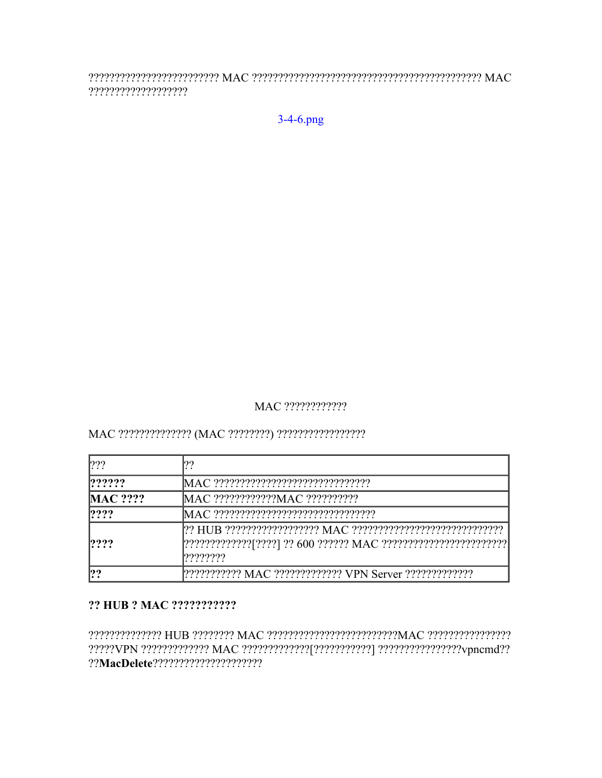????????????????????

 $3-4-6.$ png

## MAC ?????????????

| ?               |                                       |
|-----------------|---------------------------------------|
| 1222222         |                                       |
| <b>MAC ????</b> |                                       |
| ????            | MAC ????????????????????????????????? |
| math>???        | 17777777                              |
| ??              |                                       |

#### ?? HUB ? MAC ???????????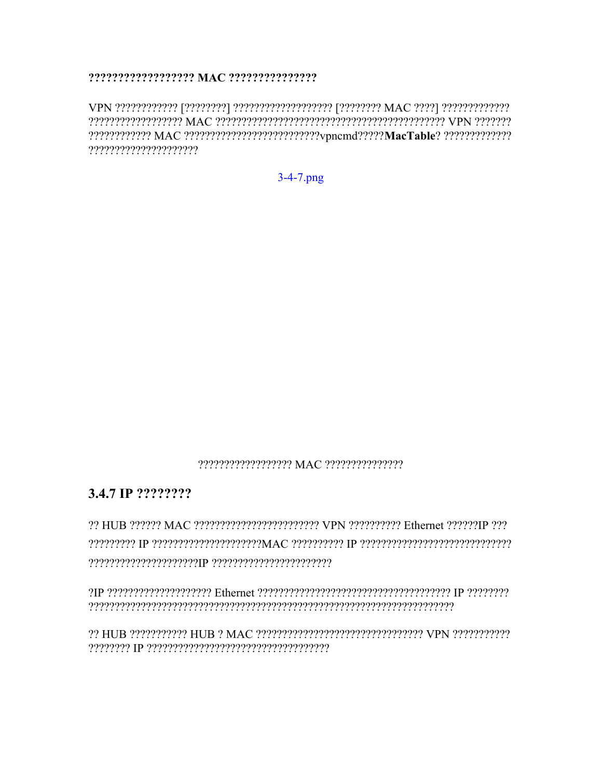??????????????????????

 $3-4-7.$ png

#### 22222222222222222220 MAC 22222222222222222

## 3.4.7 IP ????????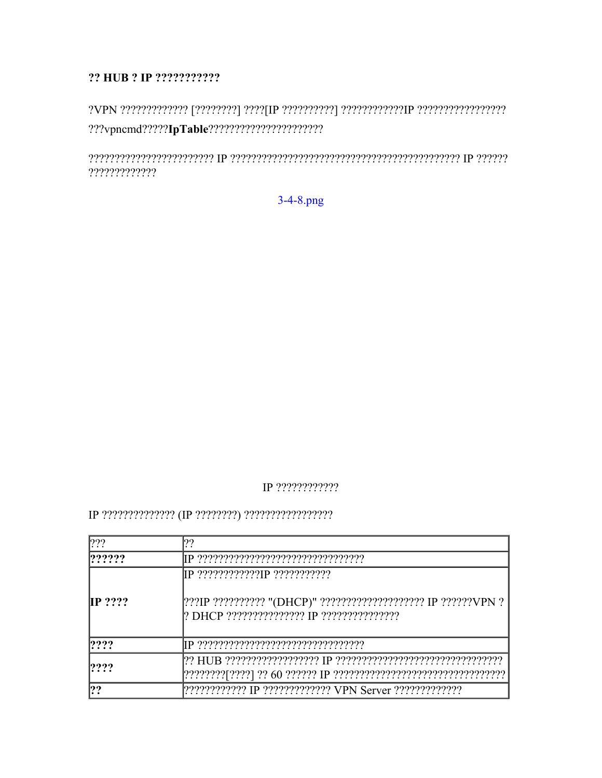#### ?? HUB ? IP ????????????

?????????????

 $3-4-8.$ png

## IP ?????????????

| 222                | 122                                                               |
|--------------------|-------------------------------------------------------------------|
| ? ? ? ? ?          |                                                                   |
|                    |                                                                   |
| $\mathbb{IP}$ ???? | [???IP ??????????? "(DHCP)" ????????????????????? IP ???????VPN ? |
| ????               |                                                                   |
| P222               |                                                                   |
| ??                 |                                                                   |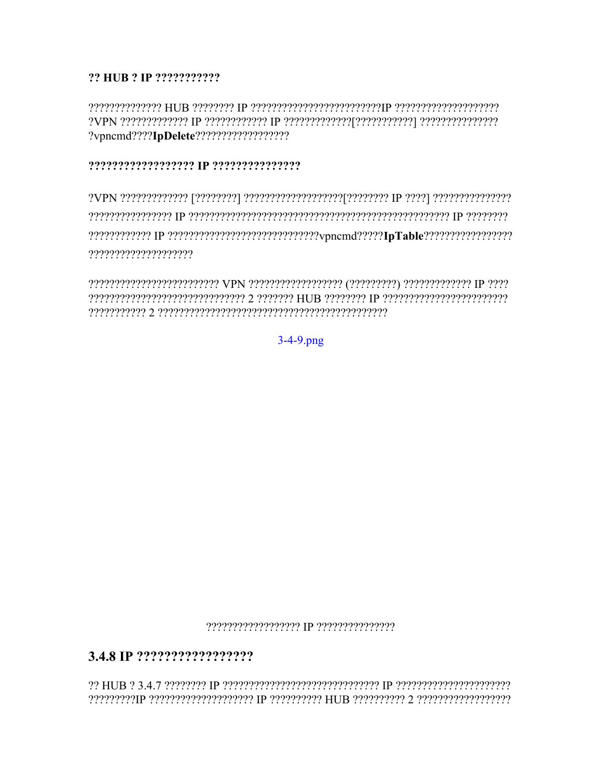## ?? HUB ? IP ???????????

#### 

 $3-4-9$ .png

#### 

## 

י *ויויויויויויויויויויויוין 2 יויויויויוין* BUJB יויויויויוין p מיויוויוויוויוויוויויויוין פ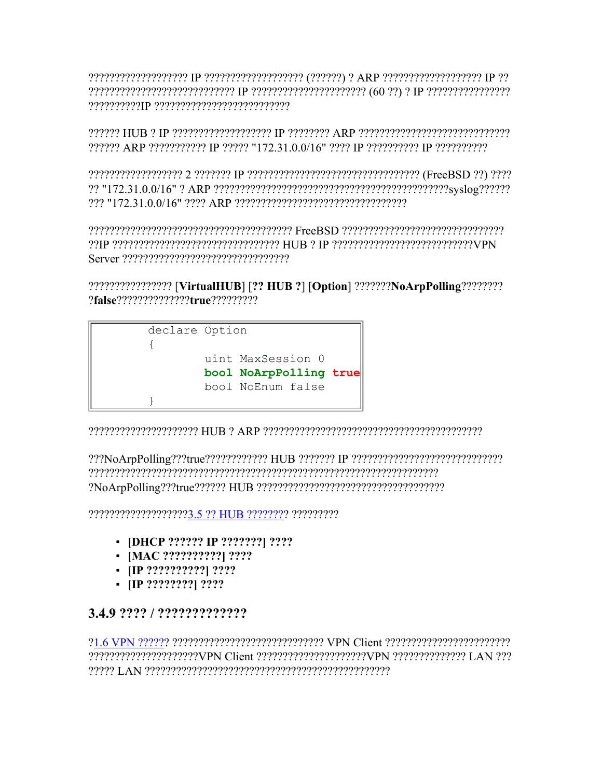222222 ARP 2222222222 IP 2222 "172.31.0.0/16" 2222 IP 222222222 IP 2222222222

??IP ????????????????????????????????? HUB ? IP ??????????????????????????VPN 

????????????????? [VirtualHUB] [?? HUB ?] [Option] ???????NoArpPolling????????? 



reserved of the consequence of the property of the consequence of the property of the consequence of the consequence of the consequence of the consequence of the consequence of the consequence of the consequence of the con

???????????????????3.5 ?? HUB ???????? ??????????

- [DHCP ?????? IP ???????] ????
- $\blacksquare$  [MAC ???????????] ????
- $\blacksquare$  IIP ????????????! ????
- $\blacksquare$  [IP ?????????] ????

## 3.4.9 ???? / ?????????????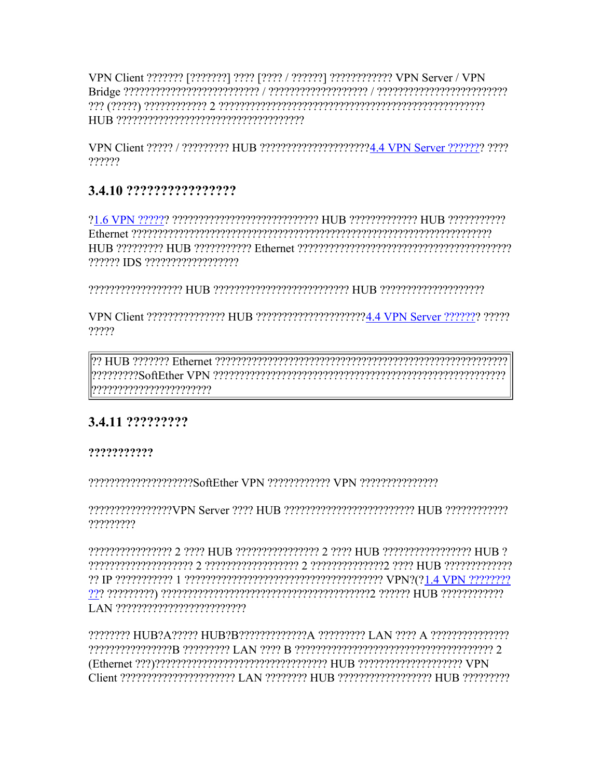VPN Client 22222 / 222222222 HUB 222222222222222222224.4 VPN Server 2222222 2222 777777

# 3.4.10 ?????????????????

222222 IDS 222222222222222222

?????

recepterencerencerenter of the Capaceterencerencerent control MHz of the centerence 

# 3.4.11 ??????????

## ???????????

2222222222222222222386ftEther VPN 222222222222 VPN 222222222222222

?????????

????????????????? 2 ???? HUB ??????????????? 2 ???? HUB ????????????????? HUB ?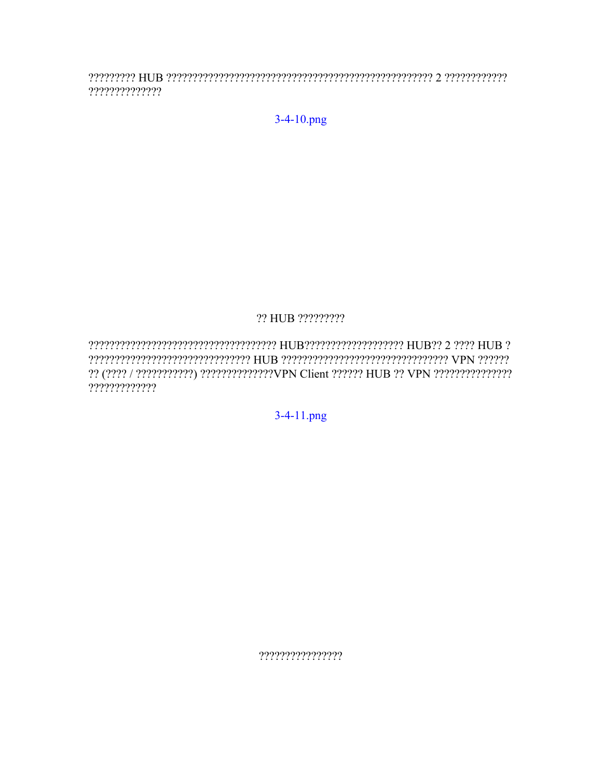$????????????????$ 

 $3-4-10$ .png

## ?? HUB ?????????

?????????????

3-4-11.png

????????????????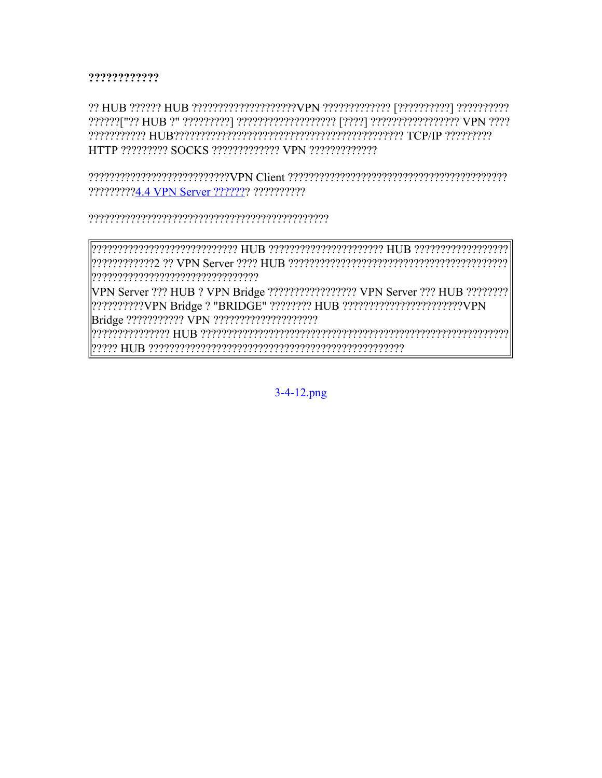#### ????????????

?????????4.4 VPN Server ??????? ???????????

VPN Server ??? HUB ? VPN Bridge ?????????????????? VPN Server ??? HUB ????????? 2??????????VPN Bridge ? "BRIDGE" ???????? HUB ?????????????????????????VPN 

 $3-4-12$ .png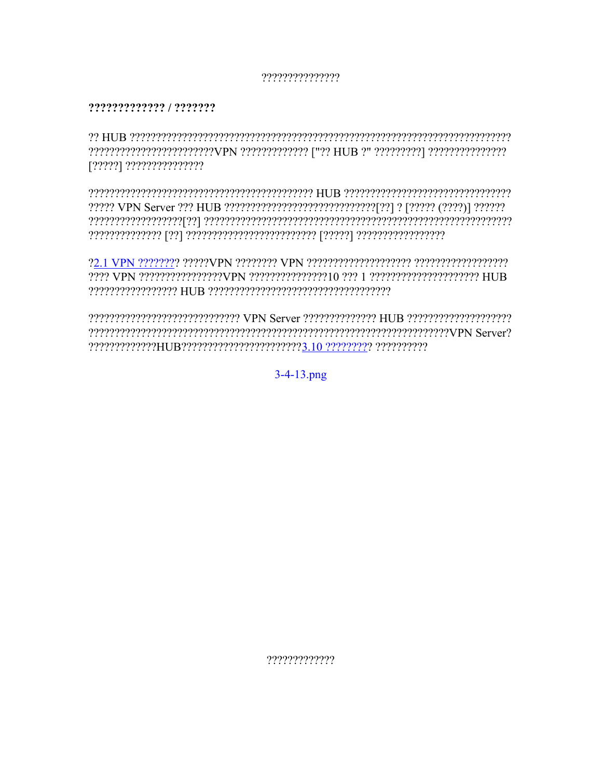#### ???????????????

#### ????????????? / ???????

oo HUB correcter and the correct of the correct of the correct of the correct of the correct  $B$ [?????] ???????????????

22222222222222222222222222222 VPN Server 2222222222222 HUB 22222222222222222222 rener? and the process constraint control to the Series of the constraint of the constraint of the Server Serv 

 $3-4-13$ .png

?????????????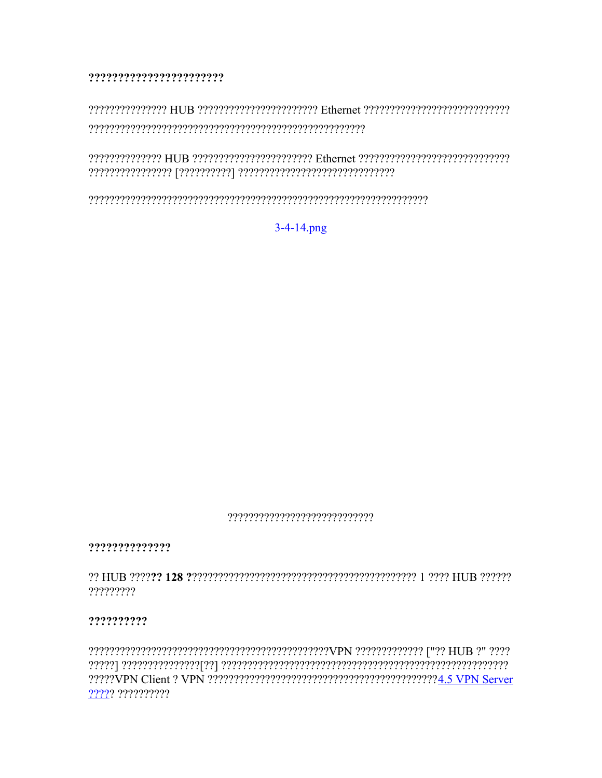#### ???????????????????????

 $3-4-14$ .png

#### 

??????????????

?????????

#### ??????????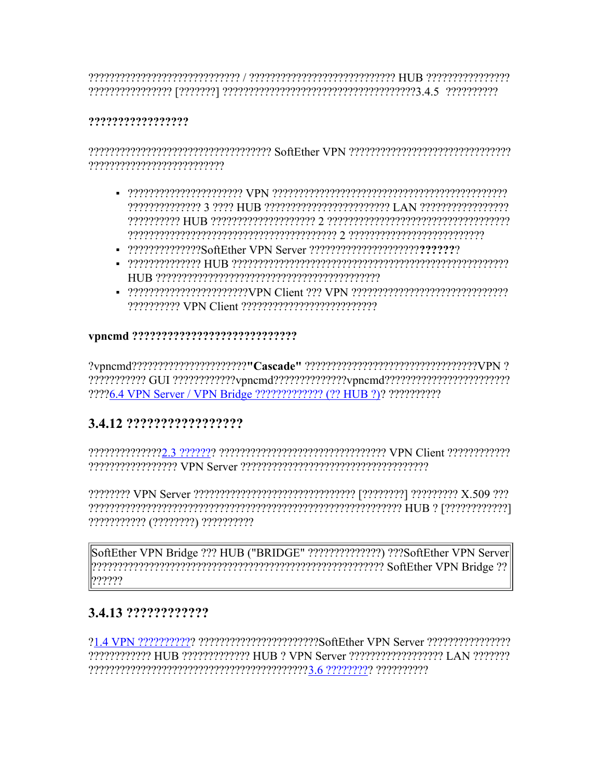$\rm GCP$  המפרספרים המינים בידע המפרספרים המינים המפרספרים המפרספרים מפרספרים המפרספרים המפרספרים בידע המפרספרים המפרספרים המפרספרים המפרספרים המפרספרים המפרספרים המפרספרים המפרספרים המפרספרים המפרספרים המפרספרים המפרספרים 

#### ??????????????????

reserved the VPN of the concernment control to the control of the control of the Software control of the contr 

- CAN CONSTRUCTION TO A LAND CONTROL TO A LIBE OF THE PROGRESS CONSTRUCTION CONTROL TO A LIBE OF THE LAND TO LA
- 22222222222222SoftEther VPN Server 2222222222222222222222222222
- 
- 222222222 VPN Client 22222222222222222222222

#### 

??????????? GUI ????????????vpncmd??????????????vpncmd?????????????????????????? ????6.4 VPN Server / VPN Bridge ????????????? (?? HUB ?)? ???????????

# 3.4.12 ??????????????????

??????????? (????????) ??????????

SoftEther VPN Bridge ??? HUB ("BRIDGE" ??????????????) ???SoftEther VPN Server ??????

# 3.4.13 ?????????????

21.4 VPN 22222222222 2222222222222222222222SoftEther VPN Server 22222222222222222 CONSTRAINT HUR CONSTRAINT THE PRINCE OF VERSITY AND THE CONSTRAINT OF THE RECOVER OF THE PROPERTY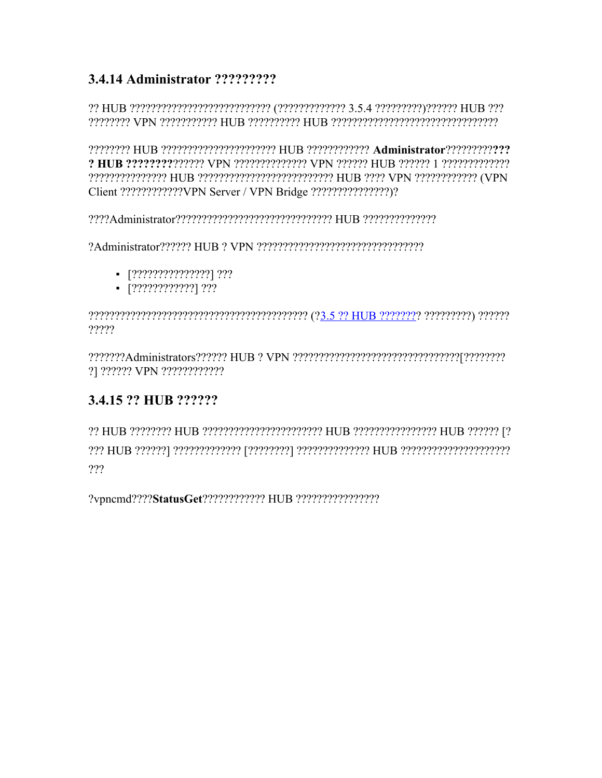# 3.4.14 Administrator ?????????

2 HUB 22222222222222 VPN 2222222222222 VPN 222222 HUB 222222 1 2222222222222 

- $-$  [???????????????] ???
- $\blacksquare$  [?????????????] ???

?????

?] ?????? VPN ????????????

# 3.4.15 ?? HUB ??????

???

?vpncmd????StatusGet???????????? HUB ?????????????????